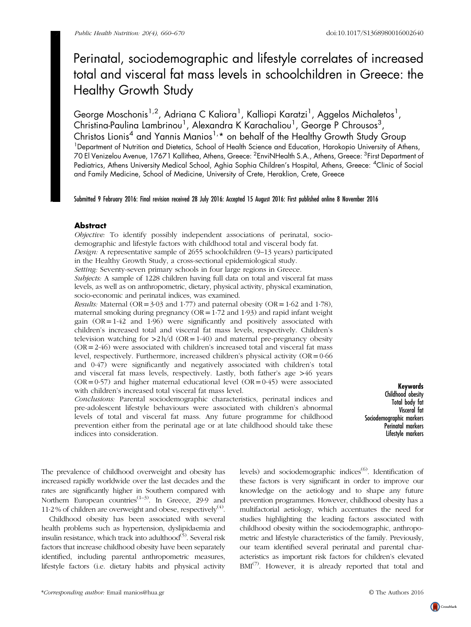# Perinatal, sociodemographic and lifestyle correlates of increased total and visceral fat mass levels in schoolchildren in Greece: the Healthy Growth Study

George Moschonis<sup>1,2</sup>, Adriana C Kaliora<sup>1</sup>, Kalliopi Karatzi<sup>1</sup>, Aggelos Michaletos<sup>1</sup>, Christina-Paulina Lambrinou<sup>1</sup>, Alexandra K Karachaliou<sup>1</sup>, George P Chrousos<sup>3</sup>, Christos Lionis<sup>4</sup> and Yannis Manios<sup>1,\*</sup> on behalf of the Healthy Growth Study Group <sup>1</sup>Department of Nutrition and Dietetics, School of Health Science and Education, Harokopio University of Athens, 70 El Venizelou Avenue, 17671 Kallithea, Athens, Greece: <sup>2</sup>EnviNHealth S.A., Athens, Greece: <sup>3</sup>First Department of Pediatrics, Athens University Medical School, Aghia Sophia Children's Hospital, Athens, Greece: <sup>4</sup>Clinic of Social and Family Medicine, School of Medicine, University of Crete, Heraklion, Crete, Greece

Submitted 9 February 2016: Final revision received 28 July 2016: Accepted 15 August 2016: First published online 8 November 2016

# **Abstract**

Objective: To identify possibly independent associations of perinatal, sociodemographic and lifestyle factors with childhood total and visceral body fat. Design: A representative sample of 2655 schoolchildren (9–13 years) participated in the Healthy Growth Study, a cross-sectional epidemiological study. Setting: Seventy-seven primary schools in four large regions in Greece. Subjects: A sample of 1228 children having full data on total and visceral fat mass levels, as well as on anthropometric, dietary, physical activity, physical examination, socio-economic and perinatal indices, was examined. *Results:* Maternal (OR =  $3.03$  and 1.77) and paternal obesity (OR =  $1.62$  and 1.78), maternal smoking during pregnancy ( $OR = 1.72$  and 1.93) and rapid infant weight gain  $(OR = 1.42$  and  $1.96$ ) were significantly and positively associated with children's increased total and visceral fat mass levels, respectively. Children's television watching for  $>2 h/d$  (OR=1·40) and maternal pre-pregnancy obesity (OR=2·46) were associated with children's increased total and visceral fat mass level, respectively. Furthermore, increased children's physical activity (OR=0·66

and 0·47) were significantly and negatively associated with children's total and visceral fat mass levels, respectively. Lastly, both father's age >46 years  $(OR = 0.57)$  and higher maternal educational level  $(OR = 0.45)$  were associated with children's increased total visceral fat mass level. Conclusions: Parental sociodemographic characteristics, perinatal indices and

pre-adolescent lifestyle behaviours were associated with children's abnormal levels of total and visceral fat mass. Any future programme for childhood prevention either from the perinatal age or at late childhood should take these indices into consideration.

Keywords Childhood obesity Total body fat Visceral fat Sociodemographic markers Perinatal markers Lifestyle markers

The prevalence of childhood overweight and obesity has increased rapidly worldwide over the last decades and the rates are significantly higher in Southern compared with Northern European countries<sup> $(1-3)$  $(1-3)$  $(1-3)$ </sup>. In Greece, 29.9 and 11.2% of children are overweight and obese, respectively<sup>([4](#page-9-0))</sup>.

Childhood obesity has been associated with several health problems such as hypertension, dyslipidaemia and insulin resistance, which track into adulthood<sup>[\(5\)](#page-9-0)</sup>. Several risk factors that increase childhood obesity have been separately identified, including parental anthropometric measures, lifestyle factors (i.e. dietary habits and physical activity

levels) and sociodemographic indices<sup>[\(6](#page-9-0))</sup>. Identification of these factors is very significant in order to improve our knowledge on the aetiology and to shape any future prevention programmes. However, childhood obesity has a multifactorial aetiology, which accentuates the need for studies highlighting the leading factors associated with childhood obesity within the sociodemographic, anthropometric and lifestyle characteristics of the family. Previously, our team identified several perinatal and parental characteristics as important risk factors for children's elevated  $BMI^{(7)}$  $BMI^{(7)}$  $BMI^{(7)}$ . However, it is already reported that total and

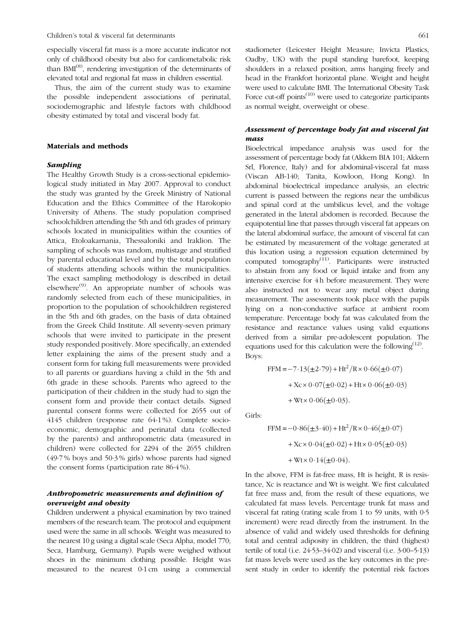especially visceral fat mass is a more accurate indicator not only of childhood obesity but also for cardiometabolic risk than  $BMI^{(8)}$  $BMI^{(8)}$  $BMI^{(8)}$ , rendering investigation of the determinants of elevated total and regional fat mass in children essential.

Thus, the aim of the current study was to examine the possible independent associations of perinatal, sociodemographic and lifestyle factors with childhood obesity estimated by total and visceral body fat.

## Materials and methods

## Sampling

The Healthy Growth Study is a cross-sectional epidemiological study initiated in May 2007. Approval to conduct the study was granted by the Greek Ministry of National Education and the Ethics Committee of the Harokopio University of Athens. The study population comprised schoolchildren attending the 5th and 6th grades of primary schools located in municipalities within the counties of Attica, Etoloakarnania, Thessaloniki and Iraklion. The sampling of schools was random, multistage and stratified by parental educational level and by the total population of students attending schools within the municipalities. The exact sampling methodology is described in detail elsewhere<sup>([9](#page-10-0))</sup>. An appropriate number of schools was randomly selected from each of these municipalities, in proportion to the population of schoolchildren registered in the 5th and 6th grades, on the basis of data obtained from the Greek Child Institute. All seventy-seven primary schools that were invited to participate in the present study responded positively. More specifically, an extended letter explaining the aims of the present study and a consent form for taking full measurements were provided to all parents or guardians having a child in the 5th and 6th grade in these schools. Parents who agreed to the participation of their children in the study had to sign the consent form and provide their contact details. Signed parental consent forms were collected for 2655 out of 4145 children (response rate 64·1 %). Complete socioeconomic, demographic and perinatal data (collected by the parents) and anthropometric data (measured in children) were collected for 2294 of the 2655 children (49·7 % boys and 50·3 % girls) whose parents had signed the consent forms (participation rate 86·4 %).

## Anthropometric measurements and definition of overweight and obesity

Children underwent a physical examination by two trained members of the research team. The protocol and equipment used were the same in all schools. Weight was measured to the nearest 10 g using a digital scale (Seca Alpha, model 770; Seca, Hamburg, Germany). Pupils were weighed without shoes in the minimum clothing possible. Height was measured to the nearest 0·1 cm using a commercial stadiometer (Leicester Height Measure; Invicta Plastics, Oadby, UK) with the pupil standing barefoot, keeping shoulders in a relaxed position, arms hanging freely and head in the Frankfort horizontal plane. Weight and height were used to calculate BMI. The International Obesity Task Force cut-off points $(10)$  were used to categorize participants as normal weight, overweight or obese.

# Assessment of percentage body fat and visceral fat mass

Bioelectrical impedance analysis was used for the assessment of percentage body fat (Akkern BIA 101; Akkern Srl, Florence, Italy) and for abdominal-visceral fat mass (Viscan AB-140; Tanita, Kowloon, Hong Kong). In abdominal bioelectrical impedance analysis, an electric current is passed between the regions near the umbilicus and spinal cord at the umbilicus level, and the voltage generated in the lateral abdomen is recorded. Because the equipotential line that passes through visceral fat appears on the lateral abdominal surface, the amount of visceral fat can be estimated by measurement of the voltage generated at this location using a regression equation determined by computed tomography[\(11\)](#page-10-0). Participants were instructed to abstain from any food or liquid intake and from any intensive exercise for 4 h before measurement. They were also instructed not to wear any metal object during measurement. The assessments took place with the pupils lying on a non-conductive surface at ambient room temperature. Percentage body fat was calculated from the resistance and reactance values using valid equations derived from a similar pre-adolescent population. The equations used for this calculation were the following $<sup>(12)</sup>$  $<sup>(12)</sup>$  $<sup>(12)</sup>$ .</sup> Boys:

FFM = -7.13(
$$
\pm
$$
2.79) + Ht<sup>2</sup>/R×0.66( $\pm$ 0.07)  
+ Xc×0.07( $\pm$ 0.02) + Ht×0.06( $\pm$ 0.03)  
+ Wt×0.06( $\pm$ 0.03).

Girls:

$$
\text{FFM} = -0.86(\pm 3.40) + \text{Ht}^2/\text{R} \times 0.46(\pm 0.07) + \text{Xc} \times 0.04(\pm 0.02) + \text{Ht} \times 0.05(\pm 0.03) + \text{Wt} \times 0.14(\pm 0.04).
$$

In the above, FFM is fat-free mass, Ht is height, R is resistance, Xc is reactance and Wt is weight. We first calculated fat free mass and, from the result of these equations, we calculated fat mass levels. Percentage trunk fat mass and visceral fat rating (rating scale from 1 to 59 units, with 0·5 increment) were read directly from the instrument. In the absence of valid and widely used thresholds for defining total and central adiposity in children, the third (highest) tertile of total (i.e. 24·53–34·02) and visceral (i.e. 3·00–5·13) fat mass levels were used as the key outcomes in the present study in order to identify the potential risk factors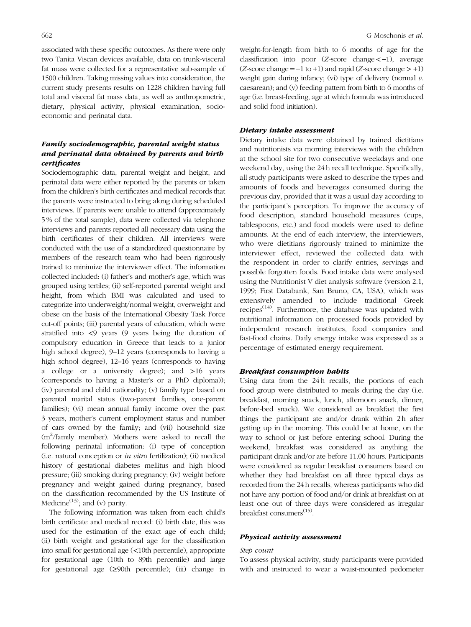associated with these specific outcomes. As there were only two Tanita Viscan devices available, data on trunk-visceral fat mass were collected for a representative sub-sample of 1500 children. Taking missing values into consideration, the current study presents results on 1228 children having full total and visceral fat mass data, as well as anthropometric, dietary, physical activity, physical examination, socioeconomic and perinatal data.

# Family sociodemographic, parental weight status and perinatal data obtained by parents and birth certificates

Sociodemographic data, parental weight and height, and perinatal data were either reported by the parents or taken from the children's birth certificates and medical records that the parents were instructed to bring along during scheduled interviews. If parents were unable to attend (approximately 5 % of the total sample), data were collected via telephone interviews and parents reported all necessary data using the birth certificates of their children. All interviews were conducted with the use of a standardized questionnaire by members of the research team who had been rigorously trained to minimize the interviewer effect. The information collected included: (i) father's and mother's age, which was grouped using tertiles; (ii) self-reported parental weight and height, from which BMI was calculated and used to categorize into underweight/normal weight, overweight and obese on the basis of the International Obesity Task Force cut-off points; (iii) parental years of education, which were stratified into <9 years (9 years being the duration of compulsory education in Greece that leads to a junior high school degree), 9–12 years (corresponds to having a high school degree), 12–16 years (corresponds to having a college or a university degree); and >16 years (corresponds to having a Master's or a PhD diploma)); (iv) parental and child nationality; (v) family type based on parental marital status (two-parent families, one-parent families); (vi) mean annual family income over the past 3 years, mother's current employment status and number of cars owned by the family; and (vii) household size (m<sup>2</sup>/family member). Mothers were asked to recall the following perinatal information: (i) type of conception (i.e. natural conception or in vitro fertilization); (ii) medical history of gestational diabetes mellitus and high blood pressure; (iii) smoking during pregnancy; (iv) weight before pregnancy and weight gained during pregnancy, based on the classification recommended by the US Institute of Medicine<sup> $(13)$ </sup>; and  $(v)$  parity.

The following information was taken from each child's birth certificate and medical record: (i) birth date, this was used for the estimation of the exact age of each child; (ii) birth weight and gestational age for the classification into small for gestational age (<10th percentile), appropriate for gestational age (10th to 89th percentile) and large for gestational age (≥90th percentile); (iii) change in

weight-for-length from birth to 6 months of age for the classification into poor (Z-score change<−1), average  $(Z\text{-score change} = -1 \text{ to } +1)$  and rapid  $(Z\text{-score change} > +1)$ weight gain during infancy; (vi) type of delivery (normal  $v$ . caesarean); and (v) feeding pattern from birth to 6 months of age (i.e. breast-feeding, age at which formula was introduced and solid food initiation).

#### Dietary intake assessment

Dietary intake data were obtained by trained dietitians and nutritionists via morning interviews with the children at the school site for two consecutive weekdays and one weekend day, using the 24 h recall technique. Specifically, all study participants were asked to describe the types and amounts of foods and beverages consumed during the previous day, provided that it was a usual day according to the participant's perception. To improve the accuracy of food description, standard household measures (cups, tablespoons, etc.) and food models were used to define amounts. At the end of each interview, the interviewers, who were dietitians rigorously trained to minimize the interviewer effect, reviewed the collected data with the respondent in order to clarify entries, servings and possible forgotten foods. Food intake data were analysed using the Nutritionist V diet analysis software (version 2.1, 1999; First Databank, San Bruno, CA, USA), which was extensively amended to include traditional Greek recipes<sup> $(14)$  $(14)$ </sup>. Furthermore, the database was updated with nutritional information on processed foods provided by independent research institutes, food companies and fast-food chains. Daily energy intake was expressed as a percentage of estimated energy requirement.

#### Breakfast consumption habits

Using data from the 24 h recalls, the portions of each food group were distributed to meals during the day (i.e. breakfast, morning snack, lunch, afternoon snack, dinner, before-bed snack). We considered as breakfast the first things the participant ate and/or drank within 2h after getting up in the morning. This could be at home, on the way to school or just before entering school. During the weekend, breakfast was considered as anything the participant drank and/or ate before 11.00 hours. Participants were considered as regular breakfast consumers based on whether they had breakfast on all three typical days as recorded from the 24 h recalls, whereas participants who did not have any portion of food and/or drink at breakfast on at least one out of three days were considered as irregular breakfast consumers<sup>([15](#page-10-0))</sup>.

## Physical activity assessment

#### Step count

To assess physical activity, study participants were provided with and instructed to wear a waist-mounted pedometer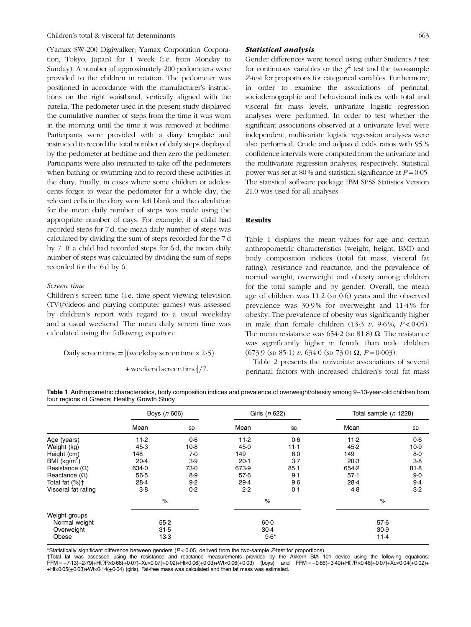(Yamax SW-200 Digiwalker; Yamax Corporation Corporation, Tokyo, Japan) for 1 week (i.e. from Monday to Sunday). A number of approximately 200 pedometers were provided to the children in rotation. The pedometer was positioned in accordance with the manufacturer's instructions on the right waistband, vertically aligned with the patella. The pedometer used in the present study displayed the cumulative number of steps from the time it was worn in the morning until the time it was removed at bedtime. Participants were provided with a diary template and instructed to record the total number of daily steps displayed by the pedometer at bedtime and then zero the pedometer. Participants were also instructed to take off the pedometers when bathing or swimming and to record these activities in the diary. Finally, in cases where some children or adolescents forgot to wear the pedometer for a whole day, the relevant cells in the diary were left blank and the calculation for the mean daily number of steps was made using the appropriate number of days. For example, if a child had recorded steps for 7 d, the mean daily number of steps was calculated by dividing the sum of steps recorded for the 7 d by 7. If a child had recorded steps for 6 d, the mean daily number of steps was calculated by dividing the sum of steps recorded for the 6 d by 6.

## Screen time

Children's screen time (i.e. time spent viewing television (TV)/videos and playing computer games) was assessed by children's report with regard to a usual weekday and a usual weekend. The mean daily screen time was calculated using the following equation:

Daily screen time  $=$  [(weekday screen time  $\times$  2.5)

 $+$  weekend screen time $]/7$ .

## Statistical analysis

Gender differences were tested using either Student's t test for continuous variables or the  $\chi^2$  test and the two-sample Z-test for proportions for categorical variables. Furthermore, in order to examine the associations of perinatal, sociodemographic and behavioural indices with total and visceral fat mass levels, univariate logistic regression analyses were performed. In order to test whether the significant associations observed at a univariate level were independent, multivariate logistic regression analyses were also performed. Crude and adjusted odds ratios with 95 % confidence intervals were computed from the univariate and the multivariate regression analyses, respectively. Statistical power was set at 80 % and statistical significance at  $P=0.05$ . The statistical software package IBM SPSS Statistics Version 21.0 was used for all analyses.

#### Results

Table 1 displays the mean values for age and certain anthropometric characteristics (weight, height, BMI) and body composition indices (total fat mass, visceral fat rating), resistance and reactance, and the prevalence of normal weight, overweight and obesity among children for the total sample and by gender. Overall, the mean age of children was  $11.2$  (sp  $0.6$ ) years and the observed prevalence was 30·9 % for overweight and 11·4 % for obesity. The prevalence of obesity was significantly higher in male than female children  $(13.3 \, v. 9.6\%, P < 0.05)$ . The mean resistance was 654·2 (sp 81·8)  $\Omega$ . The resistance was significantly higher in female than male children (673·9 (sp 85·1) v. 634·0 (sp 73·0)  $\Omega$ ,  $P = 0.003$ ).

[Table 2](#page-4-0) presents the univariate associations of several perinatal factors with increased children's total fat mass

|  |                                              |  | Table 1 Anthropometric characteristics, body composition indices and prevalence of overweight/obesity among 9-13-year-old children from |  |
|--|----------------------------------------------|--|-----------------------------------------------------------------------------------------------------------------------------------------|--|
|  | four regions of Greece; Healthy Growth Study |  |                                                                                                                                         |  |

|                                | Boys (n 606) |        | Girls (n 622) |          | Total sample (n 1228) |       |
|--------------------------------|--------------|--------|---------------|----------|-----------------------|-------|
|                                | Mean         | SD     | Mean          | SD       | Mean                  | SD    |
| Age (years)                    | $11-2$       | 0.6    | $11-2$        | 0.6      | 11.2                  | 0.6   |
| Weight (kg)                    | 45.3         | $10-8$ | 45.0          | $11-1$   | 45.2                  | 10.9  |
| Height (cm)                    | 148          | 7.0    | 149           | 8.0      | 149                   | $8-0$ |
| BMI $(kg/m^2)$                 | 20.4         | 3.9    | 20.1          | $3-7$    | 20.3                  | $3-8$ |
| Resistance $(\Omega)$          | 634.0        | 73.0   | 673.9         | $85 - 1$ | 654.2                 | 81.8  |
| Reactance $(\Omega)$           | $56-5$       | 8.9    | 57.6          | 9.1      | 57.1                  | 9.0   |
| Total fat (%)+                 | 28.4         | 9.2    | 29.4          | 9.6      | 28.4                  | 9.4   |
| Visceral fat rating            | 3.8          | 0.2    | 2.2           | 0.1      | 4.8                   | 3.2   |
|                                | $\%$         |        | $\%$          |          | $\%$                  |       |
| Weight groups<br>Normal weight | 55.2         |        | $60 - 0$      |          | 57.6                  |       |
| 31.5<br>13.3                   |              |        |               |          | 30.9<br>11.4          |       |
| Overweight<br>Obese            |              |        | $30-4$        | $9.6*$   |                       |       |

\*Statistically significant difference between genders ( $P < 0.05$ , derived from the two-sample Z-test for proportions).

†Total fat was assessed using the resistance and reactance measurements provided by the Akkern BIA 101 device using the following equations:<br>FFM=–7·13(±2·79)+Ht<sup>2</sup>/R×0·66(±0·07)+Xc×0·07(±0·02)+Ht×0·06(±0·03)+Wt×0·06(±0·03) +Ht×0·05(±0·03)+Wt×0·14(±0·04) (girls). Fat-free mass was calculated and then fat mass was estimated.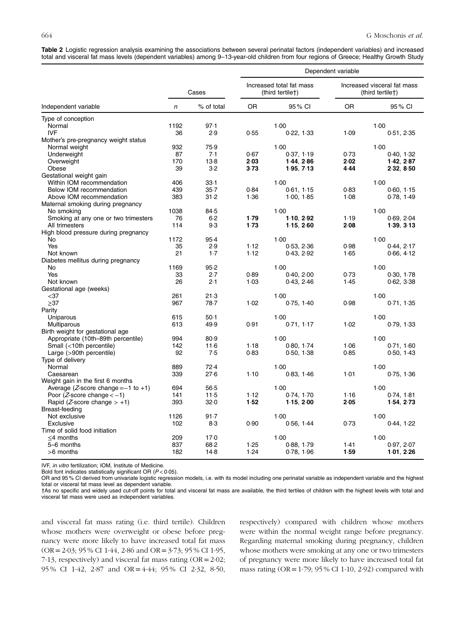<span id="page-4-0"></span>Table 2 Logistic regression analysis examining the associations between several perinatal factors (independent variables) and increased total and visceral fat mass levels (dependent variables) among 9–13-year-old children from four regions of Greece; Healthy Growth Study

|                                              |       |            |                                              |            | Dependent variable                              |            |  |  |  |
|----------------------------------------------|-------|------------|----------------------------------------------|------------|-------------------------------------------------|------------|--|--|--|
|                                              | Cases |            | Increased total fat mass<br>(third tertile†) |            | Increased visceral fat mass<br>(third tertile†) |            |  |  |  |
| Independent variable                         | n     | % of total | <b>OR</b>                                    | 95% CI     | <b>OR</b>                                       | 95 % CI    |  |  |  |
| Type of conception                           |       |            |                                              |            |                                                 |            |  |  |  |
| Normal                                       | 1192  | 97.1       |                                              | 1.00       |                                                 | 1.00       |  |  |  |
| <b>IVF</b>                                   | 36    | 2.9        | 0.55                                         | 0.22, 1.33 | 1.09                                            | 0.51, 2.35 |  |  |  |
| Mother's pre-pregnancy weight status         |       |            |                                              |            |                                                 |            |  |  |  |
| Normal weight                                | 932   | 75.9       |                                              | 1.00       |                                                 | 1.00       |  |  |  |
| Underweight                                  | 87    | 7.1        | 0.67                                         | 0.37, 1.19 | 0.73                                            | 0.40, 1.32 |  |  |  |
| Overweight                                   | 170   | $13-8$     | 2.03                                         | 1.44.2.86  | 2.02                                            | 1.42.2.87  |  |  |  |
| Obese                                        | 39    | 3.2        | 3.73                                         | 1.95, 7.13 | 4.44                                            | 2.32, 8.50 |  |  |  |
| Gestational weight gain                      |       |            |                                              |            |                                                 |            |  |  |  |
| Within IOM recommendation                    | 406   | 33.1       |                                              | 1.00       |                                                 | 1.00       |  |  |  |
| Below IOM recommendation                     | 439   | $35 - 7$   | 0.84                                         | 0.61, 1.15 | 0.83                                            | 0.60, 1.15 |  |  |  |
| Above IOM recommendation                     | 383   | 31.2       | 1.36                                         | 1.00, 1.85 | 1.08                                            | 0.78, 1.49 |  |  |  |
| Maternal smoking during pregnancy            |       |            |                                              |            |                                                 |            |  |  |  |
| No smoking                                   | 1038  | 84.5       |                                              | 1.00       |                                                 | 1.00       |  |  |  |
| Smoking at any one or two trimesters         | 76    | 6.2        | 1.79                                         | 1.10, 2.92 | 1.19                                            | 0.69, 2.04 |  |  |  |
| All trimesters                               | 114   | 9.3        | 1.73                                         | 1.15, 2.60 | 2.08                                            | 1.39, 3.13 |  |  |  |
| High blood pressure during pregnancy         |       |            |                                              |            |                                                 |            |  |  |  |
| No                                           | 1172  | 95.4       |                                              | 1.00       |                                                 | 1.00       |  |  |  |
| Yes                                          | 35    | 2.9        | 1.12                                         | 0.53, 2.36 | 0.98                                            | 0.44, 2.17 |  |  |  |
| Not known                                    | 21    | $1-7$      | 1.12                                         | 0.43, 2.92 | 1.65                                            | 0.66, 4.12 |  |  |  |
| Diabetes mellitus during pregnancy           |       |            |                                              |            |                                                 |            |  |  |  |
| No                                           | 1169  | 95.2       |                                              | 1.00       |                                                 | 1.00       |  |  |  |
| Yes                                          | 33    | 2.7        | 0.89                                         | 0.40, 2.00 | 0.73                                            | 0.30, 1.78 |  |  |  |
| Not known                                    | 26    | 2.1        | 1.03                                         | 0.43, 2.46 | 1.45                                            | 0.62, 3.38 |  |  |  |
| Gestational age (weeks)                      |       |            |                                              |            |                                                 |            |  |  |  |
| $37$                                         | 261   | 21.3       |                                              | 1.00       |                                                 | 1.00       |  |  |  |
|                                              |       |            |                                              |            |                                                 |            |  |  |  |
| $\geq$ 37                                    | 967   | 78.7       | 1.02                                         | 0.75, 1.40 | 0.98                                            | 0.71, 1.35 |  |  |  |
| Parity                                       |       |            |                                              |            |                                                 |            |  |  |  |
| Uniparous                                    | 615   | $50-1$     |                                              | 1.00       |                                                 | 1.00       |  |  |  |
| Multiparous                                  | 613   | 49.9       | 0.91                                         | 0.71, 1.17 | 1.02                                            | 0.79, 1.33 |  |  |  |
| Birth weight for gestational age             |       |            |                                              |            |                                                 |            |  |  |  |
| Appropriate (10th-89th percentile)           | 994   | 80.9       |                                              | 1.00       |                                                 | 1.00       |  |  |  |
| Small (<10th percentile)                     | 142   | 11.6       | 1.18                                         | 0.80, 1.74 | 1.06                                            | 0.71, 1.60 |  |  |  |
| Large (>90th percentile)                     | 92    | 7.5        | 0.83                                         | 0.50, 1.38 | 0.85                                            | 0.50, 1.43 |  |  |  |
| Type of delivery                             |       |            |                                              |            |                                                 |            |  |  |  |
| Normal                                       | 889   | 72.4       |                                              | 1.00       |                                                 | 1.00       |  |  |  |
| Caesarean                                    | 339   | 27.6       | 1.10                                         | 0.83, 1.46 | 1.01                                            | 0.75, 1.36 |  |  |  |
| Weight gain in the first 6 months            |       |            |                                              |            |                                                 |            |  |  |  |
| Average ( $Z$ -score change = $-1$ to $+1$ ) | 694   | $56-5$     |                                              | 1.00       |                                                 | 1.00       |  |  |  |
| Poor ( <i>Z</i> -score change $<-1$ )        | 141   | 11.5       | 1.12                                         | 0.74, 1.70 | 1.16                                            | 0.74, 1.81 |  |  |  |
| Rapid ( <i>Z</i> -score change $> +1$ )      | 393   | 32.0       | 1.52                                         | 1.15, 2.00 | 2.05                                            | 1.54, 2.73 |  |  |  |
| Breast-feeding                               |       |            |                                              |            |                                                 |            |  |  |  |
| Not exclusive                                | 1126  | 91.7       |                                              | 1.00       |                                                 | 1.00       |  |  |  |
| Exclusive                                    | 102   | 8.3        | 0.90                                         | 0.56, 1.44 | 0.73                                            | 0.44, 1.22 |  |  |  |
| Time of solid food initiation                |       |            |                                              |            |                                                 |            |  |  |  |
| $\leq$ 4 months                              | 209   | 17.0       |                                              | 1.00       |                                                 | 1.00       |  |  |  |
| 5-6 months                                   | 837   | 68.2       | 1.25                                         | 0.88, 1.79 | 1.41                                            | 0.97, 2.07 |  |  |  |
| $>6$ months                                  | 182   | 14.8       | 1.24                                         | 0.78, 1.96 | 1.59                                            | 1.01, 2.26 |  |  |  |
|                                              |       |            |                                              |            |                                                 |            |  |  |  |

IVF, in vitro fertilization; IOM, Institute of Medicine.

Bold font indicates statistically significant OR  $(P < 0.05)$ .

OR and 95 % CI derived from univariate logistic regression models, i.e. with its model including one perinatal variable as independent variable and the highest total or visceral fat mass level as dependent variable.

†As no specific and widely used cut-off points for total and visceral fat mass are available, the third tertiles of children with the highest levels with total and visceral fat mass were used as independent variables.

and visceral fat mass rating (i.e. third tertile). Children whose mothers were overweight or obese before pregnancy were more likely to have increased total fat mass (OR=2·03; 95 % CI 1·44, 2·86 and OR=3·73; 95 % CI 1·95, 7.13, respectively) and visceral fat mass rating  $(OR = 2.02;$ 95 % CI 1·42, 2·87 and OR=4·44; 95 % CI 2·32, 8·50,

respectively) compared with children whose mothers were within the normal weight range before pregnancy. Regarding maternal smoking during pregnancy, children whose mothers were smoking at any one or two trimesters of pregnancy were more likely to have increased total fat mass rating (OR = 1.79; 95 % CI 1.10, 2.92) compared with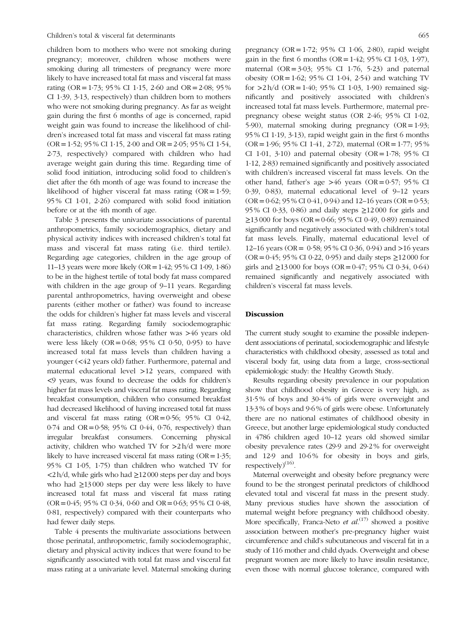children born to mothers who were not smoking during pregnancy; moreover, children whose mothers were smoking during all trimesters of pregnancy were more likely to have increased total fat mass and visceral fat mass rating (OR = 1.73; 95 % CI 1.15, 2.60 and OR = 2.08; 95 % CI 1·39, 3·13, respectively) than children born to mothers who were not smoking during pregnancy. As far as weight gain during the first 6 months of age is concerned, rapid weight gain was found to increase the likelihood of children's increased total fat mass and visceral fat mass rating  $(OR = 1.52; 95\% \text{ CI } 1.15, 2.00 \text{ and } OR = 2.05; 95\% \text{ CI } 1.54,$ 2·73, respectively) compared with children who had average weight gain during this time. Regarding time of solid food initiation, introducing solid food to children's diet after the 6th month of age was found to increase the likelihood of higher visceral fat mass rating  $(OR=1.59;$ 95 % CI 1·01, 2·26) compared with solid food initiation before or at the 4th month of age.

[Table 3](#page-6-0) presents the univariate associations of parental anthropometrics, family sociodemographics, dietary and physical activity indices with increased children's total fat mass and visceral fat mass rating (i.e. third tertile). Regarding age categories, children in the age group of 11–13 years were more likely (OR=1·42; 95 % CI 1·09, 1·86) to be in the highest tertile of total body fat mass compared with children in the age group of 9–11 years. Regarding parental anthropometrics, having overweight and obese parents (either mother or father) was found to increase the odds for children's higher fat mass levels and visceral fat mass rating. Regarding family sociodemographic characteristics, children whose father was >46 years old were less likely  $(OR = 0.68; 95\% \text{ CI } 0.50, 0.95)$  to have increased total fat mass levels than children having a younger (<42 years old) father. Furthermore, paternal and maternal educational level >12 years, compared with <9 years, was found to decrease the odds for children's higher fat mass levels and visceral fat mass rating. Regarding breakfast consumption, children who consumed breakfast had decreased likelihood of having increased total fat mass and visceral fat mass rating  $(OR = 0.56; 95\% \text{ CI } 0.42,$ 0·74 and OR=0·58; 95 % CI 0·44, 0·76, respectively) than irregular breakfast consumers. Concerning physical activity, children who watched TV for  $>2 h/d$  were more likely to have increased visceral fat mass rating  $(OR=1.35;$ 95 % CI 1·05, 1·75) than children who watched TV for <2 h/d, while girls who had ≥12 000 steps per day and boys who had ≥13 000 steps per day were less likely to have increased total fat mass and visceral fat mass rating  $(OR = 0.45; 95\% \text{ CI } 0.34, 0.60 \text{ and } OR = 0.63; 95\% \text{ CI } 0.48,$ 0·81, respectively) compared with their counterparts who had fewer daily steps.

[Table 4](#page-7-0) presents the multivariate associations between those perinatal, anthropometric, family sociodemographic, dietary and physical activity indices that were found to be significantly associated with total fat mass and visceral fat mass rating at a univariate level. Maternal smoking during pregnancy  $(OR = 1.72; 95\% \text{ CI } 1.06, 2.80)$ , rapid weight gain in the first 6 months ( $OR = 1.42$ ; 95 % CI 1.03, 1.97), maternal  $(OR = 3.03; 95\% \text{ CI } 1.76, 5.23)$  and paternal obesity (OR =  $1.62$ ; 95% CI 1 $.04$ , 2 $.54$ ) and watching TV for  $>2$  h/d (OR=1·40; 95% CI 1·03, 1·90) remained significantly and positively associated with children's increased total fat mass levels. Furthermore, maternal prepregnancy obese weight status (OR 2·46; 95 % CI 1·02, 5.90), maternal smoking during pregnancy  $(OR = 1.93;$ 95 % CI 1·19, 3·13), rapid weight gain in the first 6 months  $(OR = 1.96; 95\% \text{ CI } 1.41, 2.72)$ , maternal  $(OR = 1.77; 95\%$ CI 1 $\cdot$ 01,  $\cdot$ 3 $\cdot$ 10) and paternal obesity (OR=1 $\cdot$ 78; 95% CI 1·12, 2·83) remained significantly and positively associated with children's increased visceral fat mass levels. On the other hand, father's age  $>46$  years (OR=0·57; 95% CI 0·39, 0·83), maternal educational level of 9–12 years  $(OR = 0.62; 95\% CI 0.41, 0.94)$  and 12–16 years  $(OR = 0.53;$ 95 % CI 0·33, 0·86) and daily steps ≥12 000 for girls and  $≥13000$  for boys (OR = 0.66; 95 % CI 0.49, 0.89) remained significantly and negatively associated with children's total fat mass levels. Finally, maternal educational level of 12–16 years (OR= 0·58; 95 % CI 0·36, 0·94) and >16 years (OR = 0.45; 95 % CI 0.22, 0.95) and daily steps ≥12 000 for girls and ≥13 000 for boys (OR = 0.47; 95 % CI 0.34, 0.64) remained significantly and negatively associated with children's visceral fat mass levels.

## Discussion

The current study sought to examine the possible independent associations of perinatal, sociodemographic and lifestyle characteristics with childhood obesity, assessed as total and visceral body fat, using data from a large, cross-sectional epidemiologic study: the Healthy Growth Study.

Results regarding obesity prevalence in our population show that childhood obesity in Greece is very high, as 31·5 % of boys and 30·4 % of girls were overweight and 13·3 % of boys and 9·6 % of girls were obese. Unfortunately there are no national estimates of childhood obesity in Greece, but another large epidemiological study conducted in 4786 children aged 10–12 years old showed similar obesity prevalence rates (29·9 and 29·2 % for overweight and 12.9 and 10.6% for obesity in boys and girls,  $respectively)^{(16)}$  $respectively)^{(16)}$  $respectively)^{(16)}$ .

Maternal overweight and obesity before pregnancy were found to be the strongest perinatal predictors of childhood elevated total and visceral fat mass in the present study. Many previous studies have shown the association of maternal weight before pregnancy with childhood obesity. More specifically, Franca-Neto *et al.*<sup>[\(17](#page-10-0))</sup> showed a positive association between mother's pre-pregnancy higher waist circumference and child's subcutaneous and visceral fat in a study of 116 mother and child dyads. Overweight and obese pregnant women are more likely to have insulin resistance, even those with normal glucose tolerance, compared with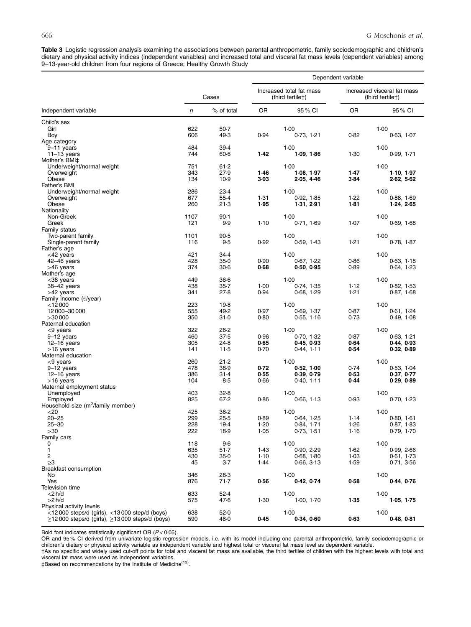<span id="page-6-0"></span>Table 3 Logistic regression analysis examining the associations between parental anthropometric, family sociodemographic and children's dietary and physical activity indices (independent variables) and increased total and visceral fat mass levels (dependent variables) among 9–13-year-old children from four regions of Greece; Healthy Growth Study

|                                                                                                                             |             |                  |                                              | Dependent variable       |              |                                                 |  |
|-----------------------------------------------------------------------------------------------------------------------------|-------------|------------------|----------------------------------------------|--------------------------|--------------|-------------------------------------------------|--|
|                                                                                                                             | Cases       |                  | Increased total fat mass<br>(third tertile†) |                          |              | Increased visceral fat mass<br>(third tertile†) |  |
| Independent variable                                                                                                        | n           | % of total       | 0R                                           | 95 % CI                  | <b>OR</b>    | 95 % CI                                         |  |
| Child's sex                                                                                                                 |             |                  |                                              |                          |              |                                                 |  |
| Girl                                                                                                                        | 622         | $50-7$           |                                              | 1.00                     |              | 1.00                                            |  |
| Boy<br>Age category                                                                                                         | 606         | 49.3             | 0.94                                         | 0.73, 1.21               | 0.82         | 0.63, 1.07                                      |  |
| $9-11$ years                                                                                                                | 484         | 39.4             |                                              | $1-00$                   |              | $1-00$                                          |  |
| $11-13$ years                                                                                                               | 744         | $60-6$           | 1.42                                         | 1.09, 1.86               | 1.30         | 0.99, 1.71                                      |  |
| Mother's BMI‡                                                                                                               |             |                  |                                              |                          |              |                                                 |  |
| Underweight/normal weight                                                                                                   | 751         | 61.2             |                                              | $1-00$                   |              | $1-00$                                          |  |
| Overweight<br>Obese                                                                                                         | 343<br>134  | 27.9<br>10.9     | 1.46<br>3.03                                 | 1.08, 1.97<br>2.05, 4.46 | 1.47<br>384  | 1.10, 1.97<br>2.62, 5.62                        |  |
| Father's BMI                                                                                                                |             |                  |                                              |                          |              |                                                 |  |
| Underweight/normal weight                                                                                                   | 286         | 23.4             |                                              | 1.00                     |              | 1.00                                            |  |
| Overweight                                                                                                                  | 677         | $55-4$           | 1.31                                         | 0.92, 1.85               | 1.22         | 0.88, 1.69                                      |  |
| Obese                                                                                                                       | 260         | 21.3             | 1.95                                         | 1 31, 2 91               | 1.81         | 1.24, 2.65                                      |  |
| Nationality<br>Non-Greek                                                                                                    |             |                  |                                              | 1.00                     |              | 1.00                                            |  |
| Greek                                                                                                                       | 1107<br>121 | $90-1$<br>9.9    | 1.10                                         | 0.71, 1.69               | 1.07         | 0.69, 1.68                                      |  |
| Family status                                                                                                               |             |                  |                                              |                          |              |                                                 |  |
| Two-parent family                                                                                                           | 1101        | 90.5             |                                              | 1.00                     |              | 1.00                                            |  |
| Single-parent family                                                                                                        | 116         | 9.5              | 0.92                                         | 0.59, 1.43               | 1.21         | 0.78, 1.87                                      |  |
| Father's age                                                                                                                |             |                  |                                              |                          |              |                                                 |  |
| $<$ 42 years                                                                                                                | 421         | 34.4             |                                              | 1.00                     |              | 1.00                                            |  |
| 42-46 years<br>>46 years                                                                                                    | 428<br>374  | $35-0$<br>$30-6$ | 0.90<br>0.68                                 | 0.67, 1.22<br>0.50, 0.95 | 0.86<br>0.89 | 0.63, 1.18<br>0.64, 1.23                        |  |
| Mother's age                                                                                                                |             |                  |                                              |                          |              |                                                 |  |
| <38 years                                                                                                                   | 449         | $36-6$           |                                              | $1-00$                   |              | $1-00$                                          |  |
| 38-42 years                                                                                                                 | 438         | $35 - 7$         | 1.00                                         | 0.74, 1.35               | 1.12         | 0.82, 1.53                                      |  |
| >42 years                                                                                                                   | 341         | 27.8             | 0.94                                         | 0.68, 1.29               | 1.21         | 0.87, 1.68                                      |  |
| Family income $(\epsilon$ /year)                                                                                            |             |                  |                                              |                          |              |                                                 |  |
| $<$ 12000<br>12 000 - 30 000                                                                                                | 223<br>555  | 19.8<br>49.2     | 0.97                                         | 1.00<br>0.69, 1.37       | 0.87         | 1.00<br>0.61, 1.24                              |  |
| >30000                                                                                                                      | 350         | $31 - 0$         | 0.80                                         | 0.55, 1.16               | 0.73         | 0.49, 1.08                                      |  |
| Paternal education                                                                                                          |             |                  |                                              |                          |              |                                                 |  |
| $<$ 9 years                                                                                                                 | 322         | $26-2$           |                                              | 1.00                     |              | 1.00                                            |  |
| 9-12 years                                                                                                                  | 460         | 37.5             | 0.96                                         | 0.70, 1.32               | 0.87         | 0.63, 1.21                                      |  |
| $12-16$ years                                                                                                               | 305         | 24.8             | 0.65                                         | 0.45, 0.93               | 0.64         | 0.44, 0.93                                      |  |
| $>16$ years<br>Maternal education                                                                                           | 141         | $11-5$           | 0.70                                         | 0.44, 1.11               | 0.54         | 0.32, 0.89                                      |  |
| $<$ 9 years                                                                                                                 | 260         | 21.2             |                                              | $1-00$                   |              | 1.00                                            |  |
| $9-12$ years                                                                                                                | 478         | 38.9             | 0.72                                         | 0.52, 1.00               | 0.74         | 0.53, 1.04                                      |  |
| $12-16$ years                                                                                                               | 386         | $31-4$           | 0.55                                         | 0.39, 0.79               | 0.53         | 0.37, 0.77                                      |  |
| >16 years                                                                                                                   | 104         | $8-5$            | 0.66                                         | 0.40, 1.11               | 0.44         | 0.29, 0.89                                      |  |
| Maternal employment status<br>Unemployed                                                                                    | 403         | 32.8             |                                              | $1-00$                   |              | $1-00$                                          |  |
| Employed                                                                                                                    | 825         | 67.2             | 0.86                                         | 0.66, 1.13               | 0.93         | 0.70, 1.23                                      |  |
| Household size (m <sup>2</sup> /family member)                                                                              |             |                  |                                              |                          |              |                                                 |  |
| $<$ 20                                                                                                                      | 425         | $36 - 2$         |                                              | 1.00                     |              | $1-00$                                          |  |
| $20 - 25$                                                                                                                   | 299         | 25.5             | 0.89                                         | 0.64, 1.25               | 1.14         | 0.80, 1.61                                      |  |
| $25 - 30$<br>>30                                                                                                            | 228         | 19.4             | 1.20                                         | 0.84, 1.71               | 1.26         | 0.87, 1.83<br>0.79, 1.70                        |  |
| Family cars                                                                                                                 | 222         | 18.9             | 1.05                                         | 0.73, 1.51               | 1.16         |                                                 |  |
| 0                                                                                                                           | 118         | 9.6              |                                              | 1.00                     |              | 1.00                                            |  |
| 1                                                                                                                           | 635         | $51-7$           | 1.43                                         | 0.90, 2.29               | 1.62         | 0.99, 2.66                                      |  |
| 2                                                                                                                           | 430         | $35-0$           | $1-10$                                       | 0.68, 1.80               | 1.03         | 0.61, 1.73                                      |  |
| ≥3                                                                                                                          | 45          | $3-7$            | 1.44                                         | 0.66, 3.13               | 1.59         | 0.71, 3.56                                      |  |
| Breakfast consumption<br>No                                                                                                 | 346         | 28.3             |                                              | $1-00$                   |              | $1-00$                                          |  |
| Yes                                                                                                                         | 876         | 71.7             | 0.56                                         | 0.42, 0.74               | 0.58         | 0.44, 0.76                                      |  |
| Television time                                                                                                             |             |                  |                                              |                          |              |                                                 |  |
| $<$ 2 h/d                                                                                                                   | 633         | 52.4             |                                              | $1-00$                   |              | $1-00$                                          |  |
| $>2$ h/d                                                                                                                    | 575         | 47.6             | 1.30                                         | 1.00, 1.70               | 1.35         | 1.05, 1.75                                      |  |
| Physical activity levels                                                                                                    |             |                  |                                              |                          |              |                                                 |  |
| $\langle$ 12000 steps/d (girls), $\langle$ 13000 step/d (boys)<br>$\geq$ 12000 steps/d (girls), $\geq$ 13000 steps/d (boys) | 638<br>590  | 52.0<br>48.0     | 0.45                                         | $1-00$<br>0.34, 0.60     | 0.63         | $1-00$<br>0.48, 0.81                            |  |

Bold font indicates statistically significant OR (P<0·05).<br>OR and 95% CI derived from univariate logistic regression models, i.e. with its model including one parental anthropometric, family sociodemographic or children's dietary or physical activity variable as independent variable and highest total or visceral fat mass level as dependent variable.

†As no specific and widely used cut-off points for total and visceral fat mass are available, the third tertiles of children with the highest levels with total and visceral fat mass were used as independent variables.

‡Based on recommendations by the Institute of Medicine[\(13\)](#page-10-0).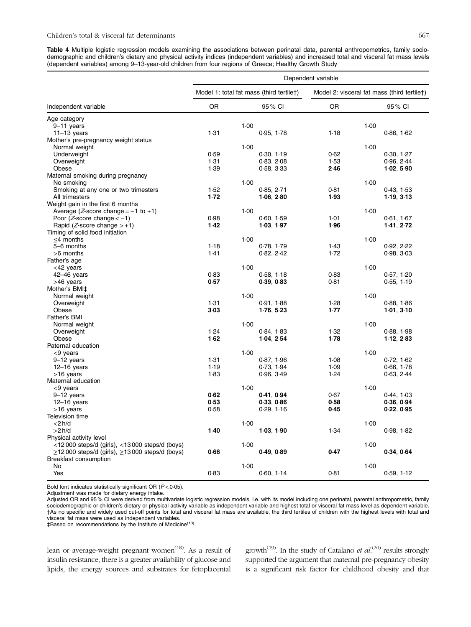<span id="page-7-0"></span>Table 4 Multiple logistic regression models examining the associations between perinatal data, parental anthropometrics, family sociodemographic and children's dietary and physical activity indices (independent variables) and increased total and visceral fat mass levels (dependent variables) among 9–13-year-old children from four regions of Greece; Healthy Growth Study

|                                                           | Dependent variable                       |      |            |                                             |      |            |
|-----------------------------------------------------------|------------------------------------------|------|------------|---------------------------------------------|------|------------|
|                                                           | Model 1: total fat mass (third tertile†) |      |            | Model 2: visceral fat mass (third tertilet) |      |            |
| Independent variable                                      | OR                                       |      | 95% CI     | 0R                                          |      | 95% CI     |
| Age category                                              |                                          |      |            |                                             |      |            |
| $9-11$ years                                              |                                          | 1.00 |            |                                             | 1.00 |            |
| $11-13$ years                                             | 1.31                                     |      | 0.95, 1.78 | 1.18                                        |      | 0.86, 1.62 |
| Mother's pre-pregnancy weight status                      |                                          |      |            |                                             |      |            |
| Normal weight                                             |                                          | 1.00 |            |                                             | 1.00 |            |
| Underweight                                               | 0.59                                     |      | 0.30, 1.19 | 0.62                                        |      | 0.30, 1.27 |
| Overweight                                                | 1.31                                     |      | 0.83, 2.08 | 1.53                                        |      | 0.96, 2.44 |
| Obese                                                     | 1.39                                     |      | 0.58, 3.33 | 2.46                                        |      | 1.02, 5.90 |
| Maternal smoking during pregnancy                         |                                          | 1.00 |            |                                             | 1.00 |            |
| No smoking<br>Smoking at any one or two trimesters        | 1.52                                     |      | 0.85, 2.71 | 0.81                                        |      | 0.43, 1.53 |
| All trimesters                                            | 1.72                                     |      | 1.06, 2.80 | 1.93                                        |      | 1.19, 3.13 |
| Weight gain in the first 6 months                         |                                          |      |            |                                             |      |            |
| Average ( <i>Z</i> -score change = $-1$ to $+1$ )         |                                          | 1.00 |            |                                             | 1.00 |            |
| Poor ( <i>Z</i> -score change $<-1$ )                     | 0.98                                     |      | 0.60, 1.59 | 1.01                                        |      | 0.61, 1.67 |
| Rapid ( <i>Z</i> -score change $> +1$ )                   | 1.42                                     |      | 1.03, 1.97 | 1.96                                        |      | 1.41, 2.72 |
| Timing of solid food initiation                           |                                          |      |            |                                             |      |            |
| $\leq$ 4 months                                           |                                          | 1.00 |            |                                             | 1.00 |            |
| 5-6 months                                                | 1.18                                     |      | 0.78, 1.79 | 1.43                                        |      | 0.92, 2.22 |
| $>6$ months                                               | 1.41                                     |      | 0.82, 2.42 | 1.72                                        |      | 0.98, 3.03 |
| Father's age                                              |                                          |      |            |                                             |      |            |
| <42 years                                                 |                                          | 1.00 |            |                                             | 1.00 |            |
| $42 - 46$ years                                           | 0.83                                     |      | 0.58, 1.18 | 0.83                                        |      | 0.57, 1.20 |
| >46 years                                                 | 0.57                                     |      | 0.39, 0.83 | 0.81                                        |      | 0.55, 1.19 |
| Mother's BMI‡                                             |                                          |      |            |                                             |      |            |
| Normal weight                                             |                                          | 1.00 |            |                                             | 1.00 |            |
| Overweight                                                | 1.31                                     |      | 0.91, 1.88 | 1.28                                        |      | 0.88, 1.86 |
| Obese                                                     | 3.03                                     |      | 1.76, 5.23 | 1.77                                        |      | 1.01, 3.10 |
| Father's BMI                                              |                                          |      |            |                                             |      |            |
| Normal weight                                             |                                          | 1.00 |            |                                             | 1.00 |            |
| Overweight                                                | 1.24                                     |      | 0.84, 1.83 | 1.32                                        |      | 0.88, 1.98 |
| Obese<br>Paternal education                               | 1.62                                     |      | 1.04, 2.54 | 1.78                                        |      | 1.12, 2.83 |
| <9 years                                                  |                                          | 1.00 |            |                                             | 1.00 |            |
| $9-12$ years                                              | 1.31                                     |      | 0.87, 1.96 | 1.08                                        |      | 0.72, 1.62 |
| $12-16$ years                                             | 1.19                                     |      | 0.73, 1.94 | 1.09                                        |      | 0.66, 1.78 |
| >16 years                                                 | 1.83                                     |      | 0.96, 3.49 | 1.24                                        |      | 0.63, 2.44 |
| Maternal education                                        |                                          |      |            |                                             |      |            |
| <9 years                                                  |                                          | 1.00 |            |                                             | 1.00 |            |
| $9-12$ years                                              | 0.62                                     |      | 0.41, 0.94 | 0.67                                        |      | 0.44, 1.03 |
| $12 - 16$ years                                           | 0.53                                     |      | 0.33, 0.86 | 0.58                                        |      | 0.36, 0.94 |
| >16 years                                                 | 0.58                                     |      | 0.29, 1.16 | 0.45                                        |      | 0.22, 0.95 |
| Television time                                           |                                          |      |            |                                             |      |            |
| $<$ 2 h/d                                                 |                                          | 1.00 |            |                                             | 1.00 |            |
| $>2$ h/d                                                  | 1.40                                     |      | 1.03, 1.90 | 1.34                                        |      | 0.98, 1.82 |
| Physical activity level                                   |                                          |      |            |                                             |      |            |
| <12 000 steps/d (girls), <13 000 steps/d (boys)           |                                          | 1.00 |            |                                             | 1.00 |            |
| $\ge$ 12 000 steps/d (girls), $\ge$ 13 000 steps/d (boys) | 0.66                                     |      | 0.49, 0.89 | 0.47                                        |      | 0.34, 0.64 |
| <b>Breakfast consumption</b>                              |                                          |      |            |                                             |      |            |
| No                                                        |                                          | 1.00 |            |                                             | 1.00 |            |
| Yes                                                       | 0.83                                     |      | 0.60, 1.14 | 0.81                                        |      | 0.59, 1.12 |

Bold font indicates statistically significant OR  $(P < 0.05)$ .

Adjustment was made for dietary energy intake.

Adjusted OR and 95 % CI were derived from multivariate logistic regression models, i.e. with its model including one perinatal, parental anthropometric, family sociodemographic or children's dietary or physical activity variable as independent variable and highest total or visceral fat mass level as dependent variable. †As no specific and widely used cut-off points for total and visceral fat mass are available, the third tertiles of children with the highest levels with total and visceral fat mass were used as independent variables.

‡Based on recommendations by the Institute of Medicine[\(13](#page-10-0)).

lean or average-weight pregnant women<sup>[\(18\)](#page-10-0)</sup>. As a result of insulin resistance, there is a greater availability of glucose and lipids, the energy sources and substrates for fetoplacental

growth<sup>[\(19\)](#page-10-0)</sup>. In the study of Catalano *et al.*<sup>([20](#page-10-0))</sup> results strongly supported the argument that maternal pre-pregnancy obesity is a significant risk factor for childhood obesity and that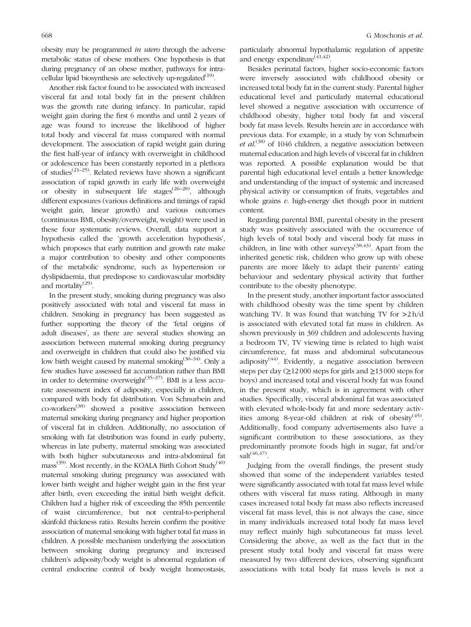obesity may be programmed in utero through the adverse metabolic status of obese mothers. One hypothesis is that during pregnancy of an obese mother, pathways for intracellular lipid biosynthesis are selectively up-regulated $(19)$  $(19)$ .

Another risk factor found to be associated with increased visceral fat and total body fat in the present children was the growth rate during infancy. In particular, rapid weight gain during the first 6 months and until 2 years of age was found to increase the likelihood of higher total body and visceral fat mass compared with normal development. The association of rapid weight gain during the first half-year of infancy with overweight in childhood or adolescence has been constantly reported in a plethora of studies[\(21](#page-10-0)–[25](#page-10-0)). Related reviews have shown a significant association of rapid growth in early life with overweight or obesity in subsequent life stages<sup> $(26-28)$  $(26-28)$  $(26-28)$  $(26-28)$ </sup>, although different exposures (various definitions and timings of rapid weight gain, linear growth) and various outcomes (continuous BMI, obesity/overweight, weight) were used in these four systematic reviews. Overall, data support a hypothesis called the 'growth acceleration hypothesis', which proposes that early nutrition and growth rate make a major contribution to obesity and other components of the metabolic syndrome, such as hypertension or dyslipidaemia, that predispose to cardiovascular morbidity and mortality<sup>[\(29\)](#page-10-0)</sup>.

In the present study, smoking during pregnancy was also positively associated with total and visceral fat mass in children. Smoking in pregnancy has been suggested as further supporting the theory of the 'fetal origins of adult diseases', as there are several studies showing an association between maternal smoking during pregnancy and overweight in children that could also be justified via low birth weight caused by maternal smoking<sup>[\(30](#page-10-0)–[34\)](#page-10-0)</sup>. Only a few studies have assessed fat accumulation rather than BMI in order to determine overweight $(35-37)$  $(35-37)$  $(35-37)$ . BMI is a less accurate assessment index of adiposity, especially in children, compared with body fat distribution. Von Schnurbein and co-workers[\(38](#page-10-0)) showed a positive association between maternal smoking during pregnancy and higher proportion of visceral fat in children. Additionally, no association of smoking with fat distribution was found in early puberty, whereas in late puberty, maternal smoking was associated with both higher subcutaneous and intra-abdominal fat  $mass<sup>(39)</sup>$  $mass<sup>(39)</sup>$  $mass<sup>(39)</sup>$ . Most recently, in the KOALA Birth Cohort Study<sup> $(40)$  $(40)$  $(40)$ </sup> maternal smoking during pregnancy was associated with lower birth weight and higher weight gain in the first year after birth, even exceeding the initial birth weight deficit. Children had a higher risk of exceeding the 85th percentile of waist circumference, but not central-to-peripheral skinfold thickness ratio. Results herein confirm the positive association of maternal smoking with higher total fat mass in children. A possible mechanism underlying the association between smoking during pregnancy and increased children's adiposity/body weight is abnormal regulation of central endocrine control of body weight homeostasis,

particularly abnormal hypothalamic regulation of appetite and energy expenditure<sup> $(41,42)$  $(41,42)$  $(41,42)$ </sup>.

Besides perinatal factors, higher socio-economic factors were inversely associated with childhood obesity or increased total body fat in the current study. Parental higher educational level and particularly maternal educational level showed a negative association with occurrence of childhood obesity, higher total body fat and visceral body fat mass levels. Results herein are in accordance with previous data. For example, in a study by von Schnurbein et al.<sup>[\(38\)](#page-10-0)</sup> of 1046 children, a negative association between maternal education and high levels of visceral fat in children was reported. A possible explanation would be that parental high educational level entails a better knowledge and understanding of the impact of systemic and increased physical activity or consumption of fruits, vegetables and whole grains  $v$ . high-energy diet though poor in nutrient content.

Regarding parental BMI, parental obesity in the present study was positively associated with the occurrence of high levels of total body and visceral body fat mass in children, in line with other surveys<sup>[\(38,43](#page-10-0))</sup>. Apart from the inherited genetic risk, children who grow up with obese parents are more likely to adapt their parents' eating behaviour and sedentary physical activity that further contribute to the obesity phenotype.

In the present study, another important factor associated with childhood obesity was the time spent by children watching TV. It was found that watching TV for >2 h/d is associated with elevated total fat mass in children. As shown previously in 369 children and adolescents having a bedroom TV, TV viewing time is related to high waist circumference, fat mass and abdominal subcutaneous adiposity $(44)$  $(44)$  $(44)$ . Evidently, a negative association between steps per day ( $\geq$ 12 000 steps for girls and  $\geq$ 13 000 steps for boys) and increased total and visceral body fat was found in the present study, which is in agreement with other studies. Specifically, visceral abdominal fat was associated with elevated whole-body fat and more sedentary activ-ities among 8-year-old children at risk of obesity<sup>([45\)](#page-10-0)</sup>. Additionally, food company advertisements also have a significant contribution to these associations, as they predominantly promote foods high in sugar, fat and/or  $salt^{(46,47)}$  $salt^{(46,47)}$  $salt^{(46,47)}$  $salt^{(46,47)}$  $salt^{(46,47)}$ 

Judging from the overall findings, the present study showed that some of the independent variables tested were significantly associated with total fat mass level while others with visceral fat mass rating. Although in many cases increased total body fat mass also reflects increased visceral fat mass level, this is not always the case, since in many individuals increased total body fat mass level may reflect mainly high subcutaneous fat mass level. Considering the above, as well as the fact that in the present study total body and visceral fat mass were measured by two different devices, observing significant associations with total body fat mass levels is not a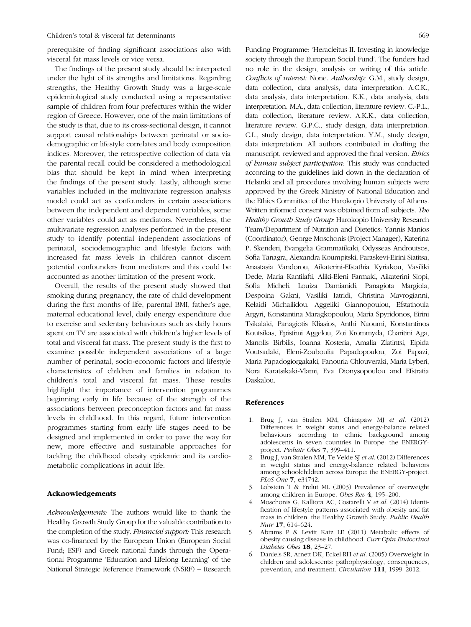<span id="page-9-0"></span>prerequisite of finding significant associations also with visceral fat mass levels or vice versa.

The findings of the present study should be interpreted under the light of its strengths and limitations. Regarding strengths, the Healthy Growth Study was a large-scale epidemiological study conducted using a representative sample of children from four prefectures within the wider region of Greece. However, one of the main limitations of the study is that, due to its cross-sectional design, it cannot support causal relationships between perinatal or sociodemographic or lifestyle correlates and body composition indices. Moreover, the retrospective collection of data via the parental recall could be considered a methodological bias that should be kept in mind when interpreting the findings of the present study. Lastly, although some variables included in the multivariate regression analysis model could act as confounders in certain associations between the independent and dependent variables, some other variables could act as mediators. Nevertheless, the multivariate regression analyses performed in the present study to identify potential independent associations of perinatal, sociodemographic and lifestyle factors with increased fat mass levels in children cannot discern potential confounders from mediators and this could be accounted as another limitation of the present work.

Overall, the results of the present study showed that smoking during pregnancy, the rate of child development during the first months of life, parental BMI, father's age, maternal educational level, daily energy expenditure due to exercise and sedentary behaviours such as daily hours spent on TV are associated with children's higher levels of total and visceral fat mass. The present study is the first to examine possible independent associations of a large number of perinatal, socio-economic factors and lifestyle characteristics of children and families in relation to children's total and visceral fat mass. These results highlight the importance of intervention programmes beginning early in life because of the strength of the associations between preconception factors and fat mass levels in childhood. In this regard, future intervention programmes starting from early life stages need to be designed and implemented in order to pave the way for new, more effective and sustainable approaches for tackling the childhood obesity epidemic and its cardiometabolic complications in adult life.

# Acknowledgements

Acknowledgements: The authors would like to thank the Healthy Growth Study Group for the valuable contribution to the completion of the study. Financial support: This research was co-financed by the European Union (European Social Fund; ESF) and Greek national funds through the Operational Programme 'Education and Lifelong Learning' of the National Strategic Reference Framework (NSRF) – Research Funding Programme: 'Heracleitus II. Investing in knowledge society through the European Social Fund'. The funders had no role in the design, analysis or writing of this article. Conflicts of interest: None. Authorship: G.M., study design, data collection, data analysis, data interpretation. A.C.K., data analysis, data interpretation. K.K., data analysis, data interpretation. M.A., data collection, literature review. C.-P.L., data collection, literature review. A.K.K., data collection, literature review. G.P.C., study design, data interpretation. C.L., study design, data interpretation. Y.M., study design, data interpretation. All authors contributed in drafting the manuscript, reviewed and approved the final version. Ethics of human subject participation: This study was conducted according to the guidelines laid down in the declaration of Helsinki and all procedures involving human subjects were approved by the Greek Ministry of National Education and the Ethics Committee of the Harokopio University of Athens. Written informed consent was obtained from all subjects. The Healthy Growth Study Group: Harokopio University Research Team/Department of Nutrition and Dietetics: Yannis Manios (Coordinator), George Moschonis (Project Manager), Katerina P. Skenderi, Evangelia Grammatikaki, Odysseas Androutsos, Sofia Tanagra, Alexandra Koumpitski, Paraskevi-Eirini Siatitsa, Anastasia Vandorou, Aikaterini-Efstathia Kyriakou, Vasiliki Dede, Maria Kantilafti, Aliki-Eleni Farmaki, Aikaterini Siopi, Sofia Micheli, Louiza Damianidi, Panagiota Margiola, Despoina Gakni, Vasiliki Iatridi, Christina Mavrogianni, Kelaidi Michailidou, Aggeliki Giannopoulou, Efstathoula Argyri, Konstantina Maragkopoulou, Maria Spyridonos, Eirini Tsikalaki, Panagiotis Kliasios, Anthi Naoumi, Konstantinos Koutsikas, Epistimi Aggelou, Zoi Krommyda, Charitini Aga, Manolis Birbilis, Ioanna Kosteria, Amalia Zlatintsi, Elpida Voutsadaki, Eleni-Zouboulia Papadopoulou, Zoi Papazi, Maria Papadogiorgakaki, Fanouria Chlouveraki, Maria Lyberi, Nora Karatsikaki-Vlami, Eva Dionysopoulou and Efstratia Daskalou.

#### References

- 1. Brug J, van Stralen MM, Chinapaw MJ et al. (2012) Differences in weight status and energy-balance related behaviours according to ethnic background among adolescents in seven countries in Europe: the ENERGYproject. Pediatr Obes 7, 399–411.
- 2. Brug J, van Stralen MM, Te Velde SJ et al. (2012) Differences in weight status and energy-balance related behaviors among schoolchildren across Europe: the ENERGY-project. PLoS One 7, e34742.
- 3. Lobstein T & Frelut ML (2003) Prevalence of overweight among children in Europe. Obes Rev 4, 195–200.
- 4. Moschonis G, Kalliora AC, Costarelli V et al. (2014) Identification of lifestyle patterns associated with obesity and fat mass in children: the Healthy Growth Study. Public Health Nutr 17, 614–624.
- 5. Abrams P & Levitt Katz LE (2011) Metabolic effects of obesity causing disease in childhood. Curr Opin Endocrinol Diabetes Obes 18, 23-27.
- 6. Daniels SR, Arnett DK, Eckel RH et al. (2005) Overweight in children and adolescents: pathophysiology, consequences, prevention, and treatment. Circulation 111, 1999–2012.